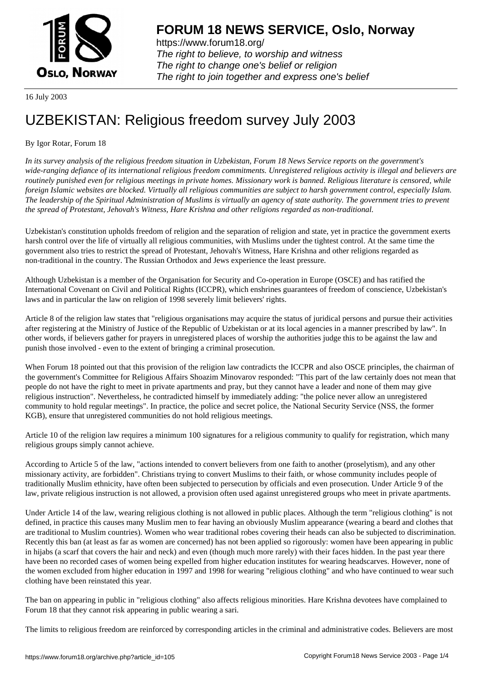

https://www.forum18.org/ The right to believe, to worship and witness The right to change one's belief or religion [The right to join together a](https://www.forum18.org/)nd express one's belief

16 July 2003

## [UZBEKISTAN:](https://www.forum18.org) Religious freedom survey July 2003

## By Igor Rotar, Forum 18

*In its survey analysis of the religious freedom situation in Uzbekistan, Forum 18 News Service reports on the government's wide-ranging defiance of its international religious freedom commitments. Unregistered religious activity is illegal and believers are routinely punished even for religious meetings in private homes. Missionary work is banned. Religious literature is censored, while foreign Islamic websites are blocked. Virtually all religious communities are subject to harsh government control, especially Islam. The leadership of the Spiritual Administration of Muslims is virtually an agency of state authority. The government tries to prevent the spread of Protestant, Jehovah's Witness, Hare Krishna and other religions regarded as non-traditional.*

Uzbekistan's constitution upholds freedom of religion and the separation of religion and state, yet in practice the government exerts harsh control over the life of virtually all religious communities, with Muslims under the tightest control. At the same time the government also tries to restrict the spread of Protestant, Jehovah's Witness, Hare Krishna and other religions regarded as non-traditional in the country. The Russian Orthodox and Jews experience the least pressure.

Although Uzbekistan is a member of the Organisation for Security and Co-operation in Europe (OSCE) and has ratified the International Covenant on Civil and Political Rights (ICCPR), which enshrines guarantees of freedom of conscience, Uzbekistan's laws and in particular the law on religion of 1998 severely limit believers' rights.

Article 8 of the religion law states that "religious organisations may acquire the status of juridical persons and pursue their activities after registering at the Ministry of Justice of the Republic of Uzbekistan or at its local agencies in a manner prescribed by law". In other words, if believers gather for prayers in unregistered places of worship the authorities judge this to be against the law and punish those involved - even to the extent of bringing a criminal prosecution.

When Forum 18 pointed out that this provision of the religion law contradicts the ICCPR and also OSCE principles, the chairman of the government's Committee for Religious Affairs Shoazim Minovarov responded: "This part of the law certainly does not mean that people do not have the right to meet in private apartments and pray, but they cannot have a leader and none of them may give religious instruction". Nevertheless, he contradicted himself by immediately adding: "the police never allow an unregistered community to hold regular meetings". In practice, the police and secret police, the National Security Service (NSS, the former KGB), ensure that unregistered communities do not hold religious meetings.

Article 10 of the religion law requires a minimum 100 signatures for a religious community to qualify for registration, which many religious groups simply cannot achieve.

According to Article 5 of the law, "actions intended to convert believers from one faith to another (proselytism), and any other missionary activity, are forbidden". Christians trying to convert Muslims to their faith, or whose community includes people of traditionally Muslim ethnicity, have often been subjected to persecution by officials and even prosecution. Under Article 9 of the law, private religious instruction is not allowed, a provision often used against unregistered groups who meet in private apartments.

Under Article 14 of the law, wearing religious clothing is not allowed in public places. Although the term "religious clothing" is not defined, in practice this causes many Muslim men to fear having an obviously Muslim appearance (wearing a beard and clothes that are traditional to Muslim countries). Women who wear traditional robes covering their heads can also be subjected to discrimination. Recently this ban (at least as far as women are concerned) has not been applied so rigorously: women have been appearing in public in hijabs (a scarf that covers the hair and neck) and even (though much more rarely) with their faces hidden. In the past year there have been no recorded cases of women being expelled from higher education institutes for wearing headscarves. However, none of the women excluded from higher education in 1997 and 1998 for wearing "religious clothing" and who have continued to wear such clothing have been reinstated this year.

The ban on appearing in public in "religious clothing" also affects religious minorities. Hare Krishna devotees have complained to Forum 18 that they cannot risk appearing in public wearing a sari.

The limits to religious freedom are reinforced by corresponding articles in the criminal and administrative codes. Believers are most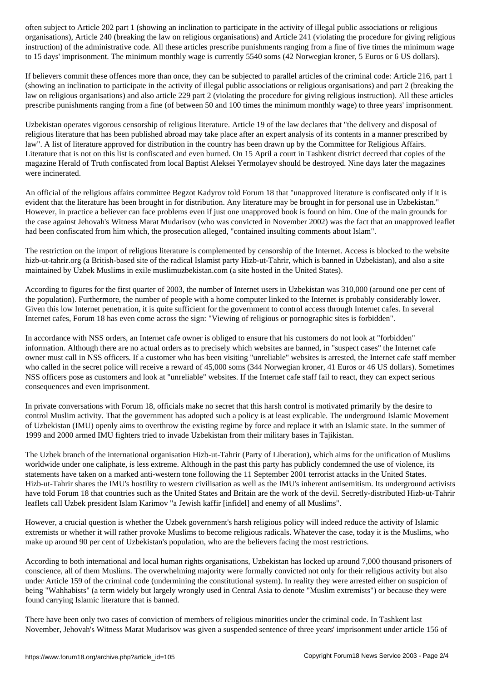organisations), Article 240 (breaking the law on religious organisations) and Article 241 (violating the procedure for giving religious instruction) of the administrative code. All these articles prescribe punishments ranging from a fine of five times the minimum wage to 15 days' imprisonment. The minimum monthly wage is currently 5540 soms (42 Norwegian kroner, 5 Euros or 6 US dollars).

If believers commit these offences more than once, they can be subjected to parallel articles of the criminal code: Article 216, part 1 (showing an inclination to participate in the activity of illegal public associations or religious organisations) and part 2 (breaking the law on religious organisations) and also article 229 part 2 (violating the procedure for giving religious instruction). All these articles prescribe punishments ranging from a fine (of between 50 and 100 times the minimum monthly wage) to three years' imprisonment.

Uzbekistan operates vigorous censorship of religious literature. Article 19 of the law declares that "the delivery and disposal of religious literature that has been published abroad may take place after an expert analysis of its contents in a manner prescribed by law". A list of literature approved for distribution in the country has been drawn up by the Committee for Religious Affairs. Literature that is not on this list is confiscated and even burned. On 15 April a court in Tashkent district decreed that copies of the magazine Herald of Truth confiscated from local Baptist Aleksei Yermolayev should be destroyed. Nine days later the magazines were incinerated.

An official of the religious affairs committee Begzot Kadyrov told Forum 18 that "unapproved literature is confiscated only if it is evident that the literature has been brought in for distribution. Any literature may be brought in for personal use in Uzbekistan." However, in practice a believer can face problems even if just one unapproved book is found on him. One of the main grounds for the case against Jehovah's Witness Marat Mudarisov (who was convicted in November 2002) was the fact that an unapproved leaflet had been confiscated from him which, the prosecution alleged, "contained insulting comments about Islam".

The restriction on the import of religious literature is complemented by censorship of the Internet. Access is blocked to the website hizb-ut-tahrir.org (a British-based site of the radical Islamist party Hizb-ut-Tahrir, which is banned in Uzbekistan), and also a site maintained by Uzbek Muslims in exile muslimuzbekistan.com (a site hosted in the United States).

According to figures for the first quarter of 2003, the number of Internet users in Uzbekistan was 310,000 (around one per cent of the population). Furthermore, the number of people with a home computer linked to the Internet is probably considerably lower. Given this low Internet penetration, it is quite sufficient for the government to control access through Internet cafes. In several Internet cafes, Forum 18 has even come across the sign: "Viewing of religious or pornographic sites is forbidden".

In accordance with NSS orders, an Internet cafe owner is obliged to ensure that his customers do not look at "forbidden" information. Although there are no actual orders as to precisely which websites are banned, in "suspect cases" the Internet cafe owner must call in NSS officers. If a customer who has been visiting "unreliable" websites is arrested, the Internet cafe staff member who called in the secret police will receive a reward of 45,000 soms (344 Norwegian kroner, 41 Euros or 46 US dollars). Sometimes NSS officers pose as customers and look at "unreliable" websites. If the Internet cafe staff fail to react, they can expect serious consequences and even imprisonment.

In private conversations with Forum 18, officials make no secret that this harsh control is motivated primarily by the desire to control Muslim activity. That the government has adopted such a policy is at least explicable. The underground Islamic Movement of Uzbekistan (IMU) openly aims to overthrow the existing regime by force and replace it with an Islamic state. In the summer of 1999 and 2000 armed IMU fighters tried to invade Uzbekistan from their military bases in Tajikistan.

The Uzbek branch of the international organisation Hizb-ut-Tahrir (Party of Liberation), which aims for the unification of Muslims worldwide under one caliphate, is less extreme. Although in the past this party has publicly condemned the use of violence, its statements have taken on a marked anti-western tone following the 11 September 2001 terrorist attacks in the United States. Hizb-ut-Tahrir shares the IMU's hostility to western civilisation as well as the IMU's inherent antisemitism. Its underground activists have told Forum 18 that countries such as the United States and Britain are the work of the devil. Secretly-distributed Hizb-ut-Tahrir leaflets call Uzbek president Islam Karimov "a Jewish kaffir [infidel] and enemy of all Muslims".

However, a crucial question is whether the Uzbek government's harsh religious policy will indeed reduce the activity of Islamic extremists or whether it will rather provoke Muslims to become religious radicals. Whatever the case, today it is the Muslims, who make up around 90 per cent of Uzbekistan's population, who are the believers facing the most restrictions.

According to both international and local human rights organisations, Uzbekistan has locked up around 7,000 thousand prisoners of conscience, all of them Muslims. The overwhelming majority were formally convicted not only for their religious activity but also under Article 159 of the criminal code (undermining the constitutional system). In reality they were arrested either on suspicion of being "Wahhabists" (a term widely but largely wrongly used in Central Asia to denote "Muslim extremists") or because they were found carrying Islamic literature that is banned.

There have been only two cases of conviction of members of religious minorities under the criminal code. In Tashkent last November, Jehovah's Witness Marat Mudarisov was given a suspended sentence of three years' imprisonment under article 156 of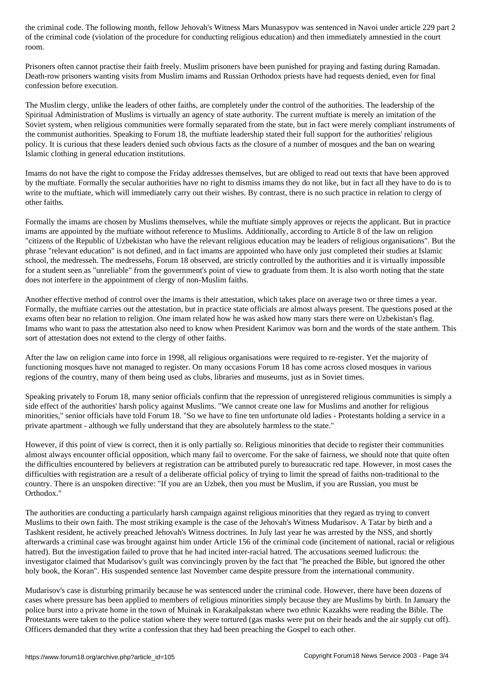of the code (violation of the procedure for conducting religious education) and then immediately amnestication room.

Prisoners often cannot practise their faith freely. Muslim prisoners have been punished for praying and fasting during Ramadan. Death-row prisoners wanting visits from Muslim imams and Russian Orthodox priests have had requests denied, even for final confession before execution.

The Muslim clergy, unlike the leaders of other faiths, are completely under the control of the authorities. The leadership of the Spiritual Administration of Muslims is virtually an agency of state authority. The current muftiate is merely an imitation of the Soviet system, when religious communities were formally separated from the state, but in fact were merely compliant instruments of the communist authorities. Speaking to Forum 18, the muftiate leadership stated their full support for the authorities' religious policy. It is curious that these leaders denied such obvious facts as the closure of a number of mosques and the ban on wearing Islamic clothing in general education institutions.

Imams do not have the right to compose the Friday addresses themselves, but are obliged to read out texts that have been approved by the muftiate. Formally the secular authorities have no right to dismiss imams they do not like, but in fact all they have to do is to write to the muftiate, which will immediately carry out their wishes. By contrast, there is no such practice in relation to clergy of other faiths.

Formally the imams are chosen by Muslims themselves, while the muftiate simply approves or rejects the applicant. But in practice imams are appointed by the muftiate without reference to Muslims. Additionally, according to Article 8 of the law on religion "citizens of the Republic of Uzbekistan who have the relevant religious education may be leaders of religious organisations". But the phrase "relevant education" is not defined, and in fact imams are appointed who have only just completed their studies at Islamic school, the medresseh. The medressehs, Forum 18 observed, are strictly controlled by the authorities and it is virtually impossible for a student seen as "unreliable" from the government's point of view to graduate from them. It is also worth noting that the state does not interfere in the appointment of clergy of non-Muslim faiths.

Another effective method of control over the imams is their attestation, which takes place on average two or three times a year. Formally, the muftiate carries out the attestation, but in practice state officials are almost always present. The questions posed at the exams often bear no relation to religion. One imam related how he was asked how many stars there were on Uzbekistan's flag. Imams who want to pass the attestation also need to know when President Karimov was born and the words of the state anthem. This sort of attestation does not extend to the clergy of other faiths.

After the law on religion came into force in 1998, all religious organisations were required to re-register. Yet the majority of functioning mosques have not managed to register. On many occasions Forum 18 has come across closed mosques in various regions of the country, many of them being used as clubs, libraries and museums, just as in Soviet times.

Speaking privately to Forum 18, many senior officials confirm that the repression of unregistered religious communities is simply a side effect of the authorities' harsh policy against Muslims. "We cannot create one law for Muslims and another for religious minorities," senior officials have told Forum 18. "So we have to fine ten unfortunate old ladies - Protestants holding a service in a private apartment - although we fully understand that they are absolutely harmless to the state."

However, if this point of view is correct, then it is only partially so. Religious minorities that decide to register their communities almost always encounter official opposition, which many fail to overcome. For the sake of fairness, we should note that quite often the difficulties encountered by believers at registration can be attributed purely to bureaucratic red tape. However, in most cases the difficulties with registration are a result of a deliberate official policy of trying to limit the spread of faiths non-traditional to the country. There is an unspoken directive: "If you are an Uzbek, then you must be Muslim, if you are Russian, you must be Orthodox."

The authorities are conducting a particularly harsh campaign against religious minorities that they regard as trying to convert Muslims to their own faith. The most striking example is the case of the Jehovah's Witness Mudarisov. A Tatar by birth and a Tashkent resident, he actively preached Jehovah's Witness doctrines. In July last year he was arrested by the NSS, and shortly afterwards a criminal case was brought against him under Article 156 of the criminal code (incitement of national, racial or religious hatred). But the investigation failed to prove that he had incited inter-racial hatred. The accusations seemed ludicrous: the investigator claimed that Mudarisov's guilt was convincingly proven by the fact that "he preached the Bible, but ignored the other holy book, the Koran". His suspended sentence last November came despite pressure from the international community.

Mudarisov's case is disturbing primarily because he was sentenced under the criminal code. However, there have been dozens of cases where pressure has been applied to members of religious minorities simply because they are Muslims by birth. In January the police burst into a private home in the town of Muinak in Karakalpakstan where two ethnic Kazakhs were reading the Bible. The Protestants were taken to the police station where they were tortured (gas masks were put on their heads and the air supply cut off). Officers demanded that they write a confession that they had been preaching the Gospel to each other.